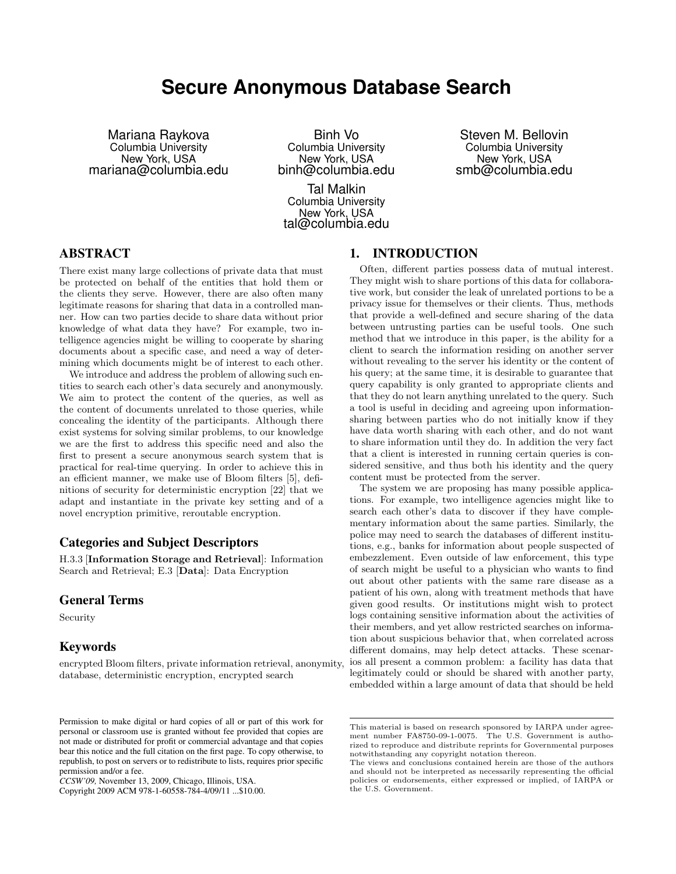# **Secure Anonymous Database Search**

Mariana Raykova Columbia University New York, USA mariana@columbia.edu

Binh Vo Columbia University New York, USA binh@columbia.edu

Tal Malkin Columbia University New York, USA tal@columbia.edu

Steven M. Bellovin Columbia University New York, USA smb@columbia.edu

# ABSTRACT

There exist many large collections of private data that must be protected on behalf of the entities that hold them or the clients they serve. However, there are also often many legitimate reasons for sharing that data in a controlled manner. How can two parties decide to share data without prior knowledge of what data they have? For example, two intelligence agencies might be willing to cooperate by sharing documents about a specific case, and need a way of determining which documents might be of interest to each other.

We introduce and address the problem of allowing such entities to search each other's data securely and anonymously. We aim to protect the content of the queries, as well as the content of documents unrelated to those queries, while concealing the identity of the participants. Although there exist systems for solving similar problems, to our knowledge we are the first to address this specific need and also the first to present a secure anonymous search system that is practical for real-time querying. In order to achieve this in an efficient manner, we make use of Bloom filters [5], definitions of security for deterministic encryption [22] that we adapt and instantiate in the private key setting and of a novel encryption primitive, reroutable encryption.

# Categories and Subject Descriptors

H.3.3 [Information Storage and Retrieval]: Information Search and Retrieval; E.3 [Data]: Data Encryption

## General Terms

Security

## Keywords

encrypted Bloom filters, private information retrieval, anonymity, database, deterministic encryption, encrypted search

# 1. INTRODUCTION

Often, different parties possess data of mutual interest. They might wish to share portions of this data for collaborative work, but consider the leak of unrelated portions to be a privacy issue for themselves or their clients. Thus, methods that provide a well-defined and secure sharing of the data between untrusting parties can be useful tools. One such method that we introduce in this paper, is the ability for a client to search the information residing on another server without revealing to the server his identity or the content of his query; at the same time, it is desirable to guarantee that query capability is only granted to appropriate clients and that they do not learn anything unrelated to the query. Such a tool is useful in deciding and agreeing upon informationsharing between parties who do not initially know if they have data worth sharing with each other, and do not want to share information until they do. In addition the very fact that a client is interested in running certain queries is considered sensitive, and thus both his identity and the query content must be protected from the server.

The system we are proposing has many possible applications. For example, two intelligence agencies might like to search each other's data to discover if they have complementary information about the same parties. Similarly, the police may need to search the databases of different institutions, e.g., banks for information about people suspected of embezzlement. Even outside of law enforcement, this type of search might be useful to a physician who wants to find out about other patients with the same rare disease as a patient of his own, along with treatment methods that have given good results. Or institutions might wish to protect logs containing sensitive information about the activities of their members, and yet allow restricted searches on information about suspicious behavior that, when correlated across different domains, may help detect attacks. These scenarios all present a common problem: a facility has data that legitimately could or should be shared with another party, embedded within a large amount of data that should be held

Copyright 2009 ACM 978-1-60558-784-4/09/11 ...\$10.00.

Permission to make digital or hard copies of all or part of this work for personal or classroom use is granted without fee provided that copies are not made or distributed for profit or commercial advantage and that copies bear this notice and the full citation on the first page. To copy otherwise, to republish, to post on servers or to redistribute to lists, requires prior specific permission and/or a fee.

*CCSW'09,* November 13, 2009, Chicago, Illinois, USA.

This material is based on research sponsored by IARPA under agreement number FA8750-09-1-0075. The U.S. Government is authorized to reproduce and distribute reprints for Governmental purposes notwithstanding any copyright notation thereon.

The views and conclusions contained herein are those of the authors and should not be interpreted as necessarily representing the official policies or endorsements, either expressed or implied, of IARPA or the U.S. Government.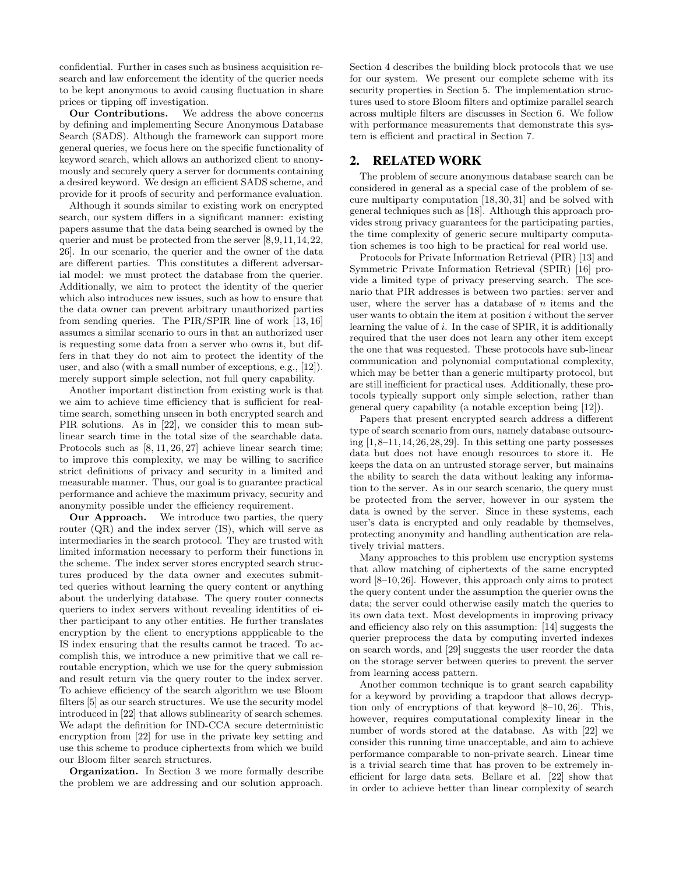confidential. Further in cases such as business acquisition research and law enforcement the identity of the querier needs to be kept anonymous to avoid causing fluctuation in share prices or tipping off investigation.

Our Contributions. We address the above concerns by defining and implementing Secure Anonymous Database Search (SADS). Although the framework can support more general queries, we focus here on the specific functionality of keyword search, which allows an authorized client to anonymously and securely query a server for documents containing a desired keyword. We design an efficient SADS scheme, and provide for it proofs of security and performance evaluation.

Although it sounds similar to existing work on encrypted search, our system differs in a significant manner: existing papers assume that the data being searched is owned by the querier and must be protected from the server [8,9,11,14,22, 26]. In our scenario, the querier and the owner of the data are different parties. This constitutes a different adversarial model: we must protect the database from the querier. Additionally, we aim to protect the identity of the querier which also introduces new issues, such as how to ensure that the data owner can prevent arbitrary unauthorized parties from sending queries. The PIR/SPIR line of work [13, 16] assumes a similar scenario to ours in that an authorized user is requesting some data from a server who owns it, but differs in that they do not aim to protect the identity of the user, and also (with a small number of exceptions, e.g., [12]). merely support simple selection, not full query capability.

Another important distinction from existing work is that we aim to achieve time efficiency that is sufficient for realtime search, something unseen in both encrypted search and PIR solutions. As in [22], we consider this to mean sublinear search time in the total size of the searchable data. Protocols such as [8, 11, 26, 27] achieve linear search time; to improve this complexity, we may be willing to sacrifice strict definitions of privacy and security in a limited and measurable manner. Thus, our goal is to guarantee practical performance and achieve the maximum privacy, security and anonymity possible under the efficiency requirement.

Our Approach. We introduce two parties, the query router (QR) and the index server (IS), which will serve as intermediaries in the search protocol. They are trusted with limited information necessary to perform their functions in the scheme. The index server stores encrypted search structures produced by the data owner and executes submitted queries without learning the query content or anything about the underlying database. The query router connects queriers to index servers without revealing identities of either participant to any other entities. He further translates encryption by the client to encryptions appplicable to the IS index ensuring that the results cannot be traced. To accomplish this, we introduce a new primitive that we call reroutable encryption, which we use for the query submission and result return via the query router to the index server. To achieve efficiency of the search algorithm we use Bloom filters [5] as our search structures. We use the security model introduced in [22] that allows sublinearity of search schemes. We adapt the definition for IND-CCA secure deterministic encryption from [22] for use in the private key setting and use this scheme to produce ciphertexts from which we build our Bloom filter search structures.

Organization. In Section 3 we more formally describe the problem we are addressing and our solution approach. Section 4 describes the building block protocols that we use for our system. We present our complete scheme with its security properties in Section 5. The implementation structures used to store Bloom filters and optimize parallel search across multiple filters are discusses in Section 6. We follow with performance measurements that demonstrate this system is efficient and practical in Section 7.

# 2. RELATED WORK

The problem of secure anonymous database search can be considered in general as a special case of the problem of secure multiparty computation [18, 30, 31] and be solved with general techniques such as [18]. Although this approach provides strong privacy guarantees for the participating parties, the time complexity of generic secure multiparty computation schemes is too high to be practical for real world use.

Protocols for Private Information Retrieval (PIR) [13] and Symmetric Private Information Retrieval (SPIR) [16] provide a limited type of privacy preserving search. The scenario that PIR addresses is between two parties: server and user, where the server has a database of  $n$  items and the user wants to obtain the item at position  $i$  without the server learning the value of  $i$ . In the case of SPIR, it is additionally required that the user does not learn any other item except the one that was requested. These protocols have sub-linear communication and polynomial computational complexity, which may be better than a generic multiparty protocol, but are still inefficient for practical uses. Additionally, these protocols typically support only simple selection, rather than general query capability (a notable exception being [12]).

Papers that present encrypted search address a different type of search scenario from ours, namely database outsourcing  $[1,8-11,14,26,28,29]$ . In this setting one party possesses data but does not have enough resources to store it. He keeps the data on an untrusted storage server, but mainains the ability to search the data without leaking any information to the server. As in our search scenario, the query must be protected from the server, however in our system the data is owned by the server. Since in these systems, each user's data is encrypted and only readable by themselves, protecting anonymity and handling authentication are relatively trivial matters.

Many approaches to this problem use encryption systems that allow matching of ciphertexts of the same encrypted word [8–10,26]. However, this approach only aims to protect the query content under the assumption the querier owns the data; the server could otherwise easily match the queries to its own data text. Most developments in improving privacy and efficiency also rely on this assumption: [14] suggests the querier preprocess the data by computing inverted indexes on search words, and [29] suggests the user reorder the data on the storage server between queries to prevent the server from learning access pattern.

Another common technique is to grant search capability for a keyword by providing a trapdoor that allows decryption only of encryptions of that keyword [8–10, 26]. This, however, requires computational complexity linear in the number of words stored at the database. As with [22] we consider this running time unacceptable, and aim to achieve performance comparable to non-private search. Linear time is a trivial search time that has proven to be extremely inefficient for large data sets. Bellare et al. [22] show that in order to achieve better than linear complexity of search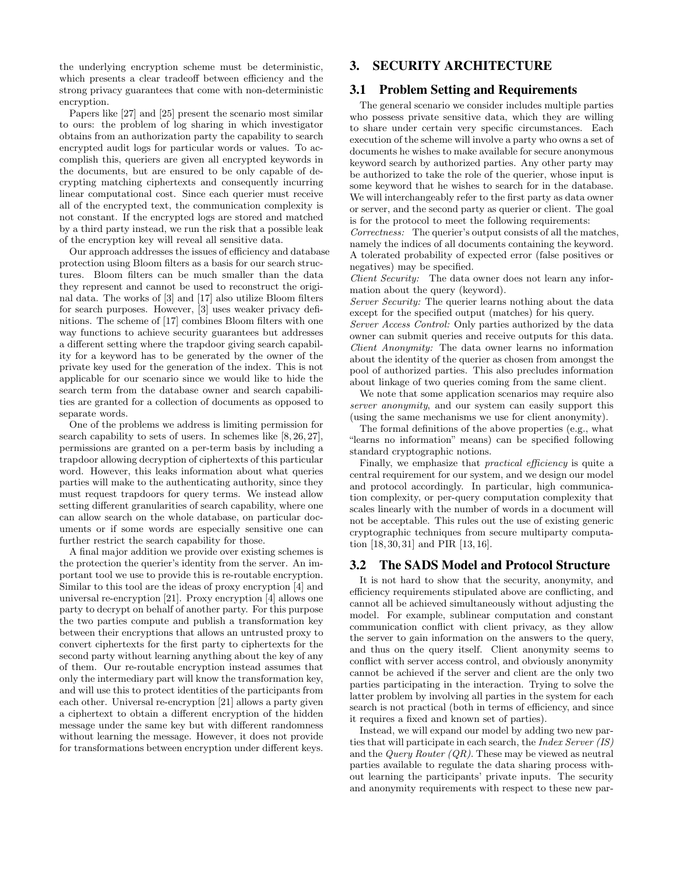the underlying encryption scheme must be deterministic, which presents a clear tradeoff between efficiency and the strong privacy guarantees that come with non-deterministic encryption.

Papers like [27] and [25] present the scenario most similar to ours: the problem of log sharing in which investigator obtains from an authorization party the capability to search encrypted audit logs for particular words or values. To accomplish this, queriers are given all encrypted keywords in the documents, but are ensured to be only capable of decrypting matching ciphertexts and consequently incurring linear computational cost. Since each querier must receive all of the encrypted text, the communication complexity is not constant. If the encrypted logs are stored and matched by a third party instead, we run the risk that a possible leak of the encryption key will reveal all sensitive data.

Our approach addresses the issues of efficiency and database protection using Bloom filters as a basis for our search structures. Bloom filters can be much smaller than the data they represent and cannot be used to reconstruct the original data. The works of [3] and [17] also utilize Bloom filters for search purposes. However, [3] uses weaker privacy definitions. The scheme of [17] combines Bloom filters with one way functions to achieve security guarantees but addresses a different setting where the trapdoor giving search capability for a keyword has to be generated by the owner of the private key used for the generation of the index. This is not applicable for our scenario since we would like to hide the search term from the database owner and search capabilities are granted for a collection of documents as opposed to separate words.

One of the problems we address is limiting permission for search capability to sets of users. In schemes like [8, 26, 27], permissions are granted on a per-term basis by including a trapdoor allowing decryption of ciphertexts of this particular word. However, this leaks information about what queries parties will make to the authenticating authority, since they must request trapdoors for query terms. We instead allow setting different granularities of search capability, where one can allow search on the whole database, on particular documents or if some words are especially sensitive one can further restrict the search capability for those.

A final major addition we provide over existing schemes is the protection the querier's identity from the server. An important tool we use to provide this is re-routable encryption. Similar to this tool are the ideas of proxy encryption [4] and universal re-encryption [21]. Proxy encryption [4] allows one party to decrypt on behalf of another party. For this purpose the two parties compute and publish a transformation key between their encryptions that allows an untrusted proxy to convert ciphertexts for the first party to ciphertexts for the second party without learning anything about the key of any of them. Our re-routable encryption instead assumes that only the intermediary part will know the transformation key, and will use this to protect identities of the participants from each other. Universal re-encryption [21] allows a party given a ciphertext to obtain a different encryption of the hidden message under the same key but with different randomness without learning the message. However, it does not provide for transformations between encryption under different keys.

# 3. SECURITY ARCHITECTURE

## 3.1 Problem Setting and Requirements

The general scenario we consider includes multiple parties who possess private sensitive data, which they are willing to share under certain very specific circumstances. Each execution of the scheme will involve a party who owns a set of documents he wishes to make available for secure anonymous keyword search by authorized parties. Any other party may be authorized to take the role of the querier, whose input is some keyword that he wishes to search for in the database. We will interchangeably refer to the first party as data owner or server, and the second party as querier or client. The goal is for the protocol to meet the following requirements:

Correctness: The querier's output consists of all the matches, namely the indices of all documents containing the keyword. A tolerated probability of expected error (false positives or negatives) may be specified.

Client Security: The data owner does not learn any information about the query (keyword).

Server Security: The querier learns nothing about the data except for the specified output (matches) for his query.

Server Access Control: Only parties authorized by the data owner can submit queries and receive outputs for this data. Client Anonymity: The data owner learns no information about the identity of the querier as chosen from amongst the pool of authorized parties. This also precludes information about linkage of two queries coming from the same client.

We note that some application scenarios may require also server anonymity, and our system can easily support this (using the same mechanisms we use for client anonymity).

The formal definitions of the above properties (e.g., what "learns no information" means) can be specified following standard cryptographic notions.

Finally, we emphasize that *practical efficiency* is quite a central requirement for our system, and we design our model and protocol accordingly. In particular, high communication complexity, or per-query computation complexity that scales linearly with the number of words in a document will not be acceptable. This rules out the use of existing generic cryptographic techniques from secure multiparty computation [18, 30, 31] and PIR [13, 16].

# 3.2 The SADS Model and Protocol Structure

It is not hard to show that the security, anonymity, and efficiency requirements stipulated above are conflicting, and cannot all be achieved simultaneously without adjusting the model. For example, sublinear computation and constant communication conflict with client privacy, as they allow the server to gain information on the answers to the query, and thus on the query itself. Client anonymity seems to conflict with server access control, and obviously anonymity cannot be achieved if the server and client are the only two parties participating in the interaction. Trying to solve the latter problem by involving all parties in the system for each search is not practical (both in terms of efficiency, and since it requires a fixed and known set of parties).

Instead, we will expand our model by adding two new parties that will participate in each search, the Index Server (IS) and the *Query Router (QR)*. These may be viewed as neutral parties available to regulate the data sharing process without learning the participants' private inputs. The security and anonymity requirements with respect to these new par-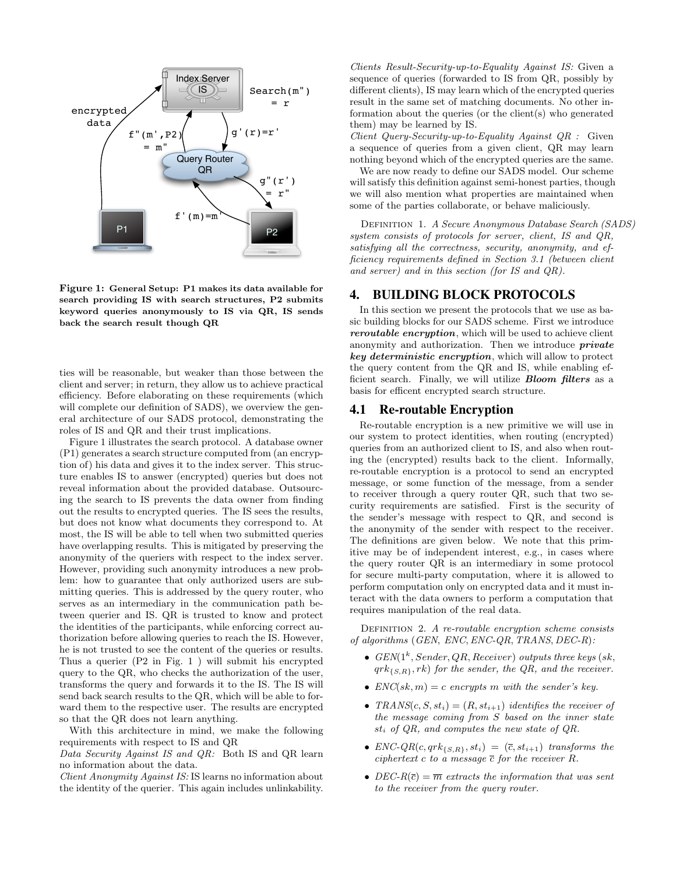

Figure 1: General Setup: P1 makes its data available for search providing IS with search structures, P2 submits keyword queries anonymously to IS via QR, IS sends back the search result though QR

ties will be reasonable, but weaker than those between the client and server; in return, they allow us to achieve practical efficiency. Before elaborating on these requirements (which will complete our definition of SADS), we overview the general architecture of our SADS protocol, demonstrating the roles of IS and QR and their trust implications.

Figure 1 illustrates the search protocol. A database owner (P1) generates a search structure computed from (an encryption of) his data and gives it to the index server. This structure enables IS to answer (encrypted) queries but does not reveal information about the provided database. Outsourcing the search to IS prevents the data owner from finding out the results to encrypted queries. The IS sees the results, but does not know what documents they correspond to. At most, the IS will be able to tell when two submitted queries have overlapping results. This is mitigated by preserving the anonymity of the queriers with respect to the index server. However, providing such anonymity introduces a new problem: how to guarantee that only authorized users are submitting queries. This is addressed by the query router, who serves as an intermediary in the communication path between querier and IS. QR is trusted to know and protect the identities of the participants, while enforcing correct authorization before allowing queries to reach the IS. However, he is not trusted to see the content of the queries or results. Thus a querier (P2 in Fig. 1 ) will submit his encrypted query to the QR, who checks the authorization of the user, transforms the query and forwards it to the IS. The IS will send back search results to the QR, which will be able to forward them to the respective user. The results are encrypted so that the QR does not learn anything.

With this architecture in mind, we make the following requirements with respect to IS and QR

Data Security Against IS and QR: Both IS and QR learn no information about the data.

Client Anonymity Against IS: IS learns no information about the identity of the querier. This again includes unlinkability.

Clients Result-Security-up-to-Equality Against IS: Given a sequence of queries (forwarded to IS from QR, possibly by different clients), IS may learn which of the encrypted queries result in the same set of matching documents. No other information about the queries (or the client(s) who generated them) may be learned by IS.

Client Query-Security-up-to-Equality Against QR : Given a sequence of queries from a given client, QR may learn nothing beyond which of the encrypted queries are the same.

We are now ready to define our SADS model. Our scheme will satisfy this definition against semi-honest parties, though we will also mention what properties are maintained when some of the parties collaborate, or behave maliciously.

DEFINITION 1. A Secure Anonymous Database Search (SADS) system consists of protocols for server, client, IS and QR, satisfying all the correctness, security, anonymity, and efficiency requirements defined in Section 3.1 (between client and server) and in this section (for IS and QR).

# 4. BUILDING BLOCK PROTOCOLS

In this section we present the protocols that we use as basic building blocks for our SADS scheme. First we introduce reroutable encryption, which will be used to achieve client anonymity and authorization. Then we introduce *private* key deterministic encryption, which will allow to protect the query content from the QR and IS, while enabling efficient search. Finally, we will utilize **Bloom filters** as a basis for efficent encrypted search structure.

## 4.1 Re-routable Encryption

Re-routable encryption is a new primitive we will use in our system to protect identities, when routing (encrypted) queries from an authorized client to IS, and also when routing the (encrypted) results back to the client. Informally, re-routable encryption is a protocol to send an encrypted message, or some function of the message, from a sender to receiver through a query router QR, such that two security requirements are satisfied. First is the security of the sender's message with respect to QR, and second is the anonymity of the sender with respect to the receiver. The definitions are given below. We note that this primitive may be of independent interest, e.g., in cases where the query router QR is an intermediary in some protocol for secure multi-party computation, where it is allowed to perform computation only on encrypted data and it must interact with the data owners to perform a computation that requires manipulation of the real data.

DEFINITION 2. A re-routable encryption scheme consists of algorithms (GEN, ENC,ENC-QR, TRANS, DEC-R):

- $GEN(1^k,Sender, QR, Receiver)$  outputs three keys (sk,  $qrk<sub>{S,R}</sub>, rk)$  for the sender, the QR, and the receiver.
- $ENC(sk, m) = c$  encrypts m with the sender's key.
- TRANS $(c, S, st_i) = (R, st_{i+1})$  identifies the receiver of the message coming from S based on the inner state  $st_i$  of  $QR$ , and computes the new state of  $QR$ .
- ENC-QR(c, qr $k_{\{S,R\}}$ , st<sub>i</sub>) = ( $\overline{c}$ , st<sub>i+1</sub>) transforms the ciphertext c to a message  $\bar{c}$  for the receiver R.
- DEC- $R(\bar{c}) = \bar{m}$  extracts the information that was sent to the receiver from the query router.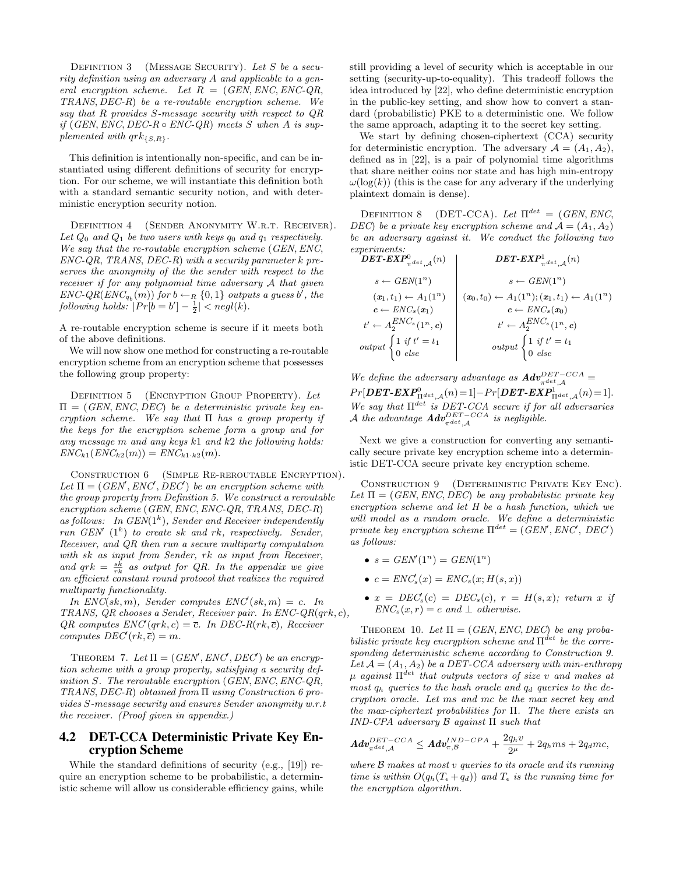DEFINITION 3 (MESSAGE SECURITY). Let S be a security definition using an adversary A and applicable to a general encryption scheme. Let  $R = (GEN, ENC, ENC-QR,$ TRANS, DEC-R) be a re-routable encryption scheme. We say that R provides S-message security with respect to QR if (GEN, ENC, DEC-R  $\circ$  ENC-QR) meets S when A is supplemented with  $qrk_{\{S,R\}}$ .

This definition is intentionally non-specific, and can be instantiated using different definitions of security for encryption. For our scheme, we will instantiate this definition both with a standard semantic security notion, and with deterministic encryption security notion.

DEFINITION 4 (SENDER ANONYMITY W.R.T. RECEIVER). Let  $Q_0$  and  $Q_1$  be two users with keys  $q_0$  and  $q_1$  respectively. We say that the re-routable encryption scheme (GEN, ENC,  $ENC-QR$ , TRANS, DEC-R) with a security parameter k preserves the anonymity of the the sender with respect to the receiver if for any polynomial time adversary A that given  $ENC\text{-}QR(ENC_{q_b}(m))$  for  $b \leftarrow_R \{0,1\}$  outputs a guess b', the  $\text{following holds: } |Pr[b = b'] - \frac{1}{2}| < \text{negl}(k).$ 

A re-routable encryption scheme is secure if it meets both of the above definitions.

We will now show one method for constructing a re-routable encryption scheme from an encryption scheme that possesses the following group property:

DEFINITION 5 (ENCRYPTION GROUP PROPERTY). Let  $\Pi = (GEN, ENC, DEC)$  be a deterministic private key encryption scheme. We say that  $\Pi$  has a group property if the keys for the encryption scheme form a group and for any message m and any keys  $k1$  and  $k2$  the following holds:  $ENC_{k1}(ENC_{k2}(m)) = ENC_{k1 \cdot k2}(m).$ 

Construction 6 (Simple Re-reroutable Encryption). Let  $\Pi = (GEN', ENC', DEC')$  be an encryption scheme with the group property from Definition 5. We construct a reroutable encryption scheme (GEN,ENC,ENC-QR, TRANS, DEC-R) as follows: In  $GEN(1^k)$ , Sender and Receiver independently run  $GEN'$   $(1^k)$  to create sk and rk, respectively. Sender, Receiver, and QR then run a secure multiparty computation with sk as input from Sender,  $rk$  as input from Receiver, and  $qrk = \frac{sk}{rk}$  as output for QR. In the appendix we give an efficient constant round protocol that realizes the required multiparty functionality.

In  $ENC(sk, m)$ , Sender computes  $ENC(sk, m) = c$ . In TRANS, QR chooses a Sender, Receiver pair. In ENC-QR(qrk, c),  $QR$  computes  $ENC(qrk, c) = \overline{c}$ . In DEC-R(rk,  $\overline{c}$ ), Receiver computes  $DEC'(rk, \overline{c}) = m$ .

THEOREM 7. Let  $\Pi = (GEN', ENC', DEC')$  be an encryption scheme with a group property, satisfying a security definition  $S$ . The reroutable encryption (GEN, ENC, ENC-QR, TRANS,  $DEC-R$ ) obtained from  $\Pi$  using Construction 6 provides S-message security and ensures Sender anonymity w.r.t the receiver. (Proof given in appendix.)

# 4.2 DET-CCA Deterministic Private Key Encryption Scheme

While the standard definitions of security (e.g., [19]) require an encryption scheme to be probabilistic, a deterministic scheme will allow us considerable efficiency gains, while still providing a level of security which is acceptable in our setting (security-up-to-equality). This tradeoff follows the idea introduced by [22], who define deterministic encryption in the public-key setting, and show how to convert a standard (probabilistic) PKE to a deterministic one. We follow the same approach, adapting it to the secret key setting.

We start by defining chosen-ciphertext (CCA) security for deterministic encryption. The adversary  $A = (A_1, A_2)$ , defined as in [22], is a pair of polynomial time algorithms that share neither coins nor state and has high min-entropy  $\omega(\log(k))$  (this is the case for any adverary if the underlying plaintext domain is dense).

DEFINITION 8 (DET-CCA). Let  $\Pi^{det} = (GEN, ENC,$ DEC) be a private key encryption scheme and  $\mathcal{A} = (A_1, A_2)$ be an adversary against it. We conduct the following two experiments:

$$
\begin{array}{c|c|c} \n \hline \n \text{DET-EXP}_{\pi^{det},\mathcal{A}}^{0}(n) & \text{DET-EXP}_{\pi^{det},\mathcal{A}}^{1}(n) \\ \n \begin{array}{c|c} \n s \leftarrow \text{GEN}(1^n) & \text{ } s \leftarrow \text{GEN}(1^n) \\ \n \begin{array}{c|c} \n (x_1, t_1) \leftarrow A_1(1^n) & \n (x_0, t_0) \leftarrow A_1(1^n); (x_1, t_1) \leftarrow A_1(1^n) \\ \n \begin{array}{c|c} \n c \leftarrow \text{ENC}_s(x_1) & \n c \leftarrow \text{ENC}_s(x_0) \n \end{array} \n \end{array} \right. & \n \begin{array}{c} \n \text{OPT-EXP}_{\pi^{det},\mathcal{A}}^{1}(n) \\ \n \begin{array}{c} \n c \leftarrow \text{ENC}_s(x_0) \n \end{array} \n \end{array} \n \end{array}
$$
\n
$$
\begin{array}{c} \n t' \leftarrow A_2^{\text{ENC}_s}(1^n, c) \\ \n \text{output} \begin{cases} \n 1 & \text{if } t' = t_1 \\ \n 0 & \text{else} \n \end{cases} \n \end{array}
$$

We define the adversary advantage as  $Adv_{\pi^{det}, A}^{DET-CCA}$  $Pr[\boldsymbol{DET}\text{-}\boldsymbol{EXP}_{\Pi^{det},\mathcal{A}}^{0}(n)\!=\!1]\!-\!Pr[\boldsymbol{DET}\text{-}\boldsymbol{EXP}_{\Pi^{det},\mathcal{A}}^{1}(n)\!=\!1].$ We say that  $\Pi^{det}$  is DET-CCA secure if for all adversaries  ${\cal A}$  the advantage  $Adv^{DET-CCA}_{\pi^{det}, {\cal A}}$  is negligible.

Next we give a construction for converting any semantically secure private key encryption scheme into a deterministic DET-CCA secure private key encryption scheme.

Construction 9 (Deterministic Private Key Enc). Let  $\Pi = (GEN, ENC, DEC)$  be any probabilistic private key encryption scheme and let H be a hash function, which we will model as a random oracle. We define a deterministic private key encryption scheme  $\Pi^{det} = (GEN', ENC, DEC)$ as follows:

- $s = GEN'(1^n) = GEN(1^n)$
- $c = ENC_s(x) = ENC_s(x; H(s,x))$
- $x = DEC'_s(c) = DEC_s(c)$ ,  $r = H(s, x)$ ; return x if  $ENC_s(x, r) = c$  and  $\perp$  otherwise.

THEOREM 10. Let  $\Pi = (GEN, ENC, DEC)$  be any probabilistic private key encryption scheme and  $\Pi^{det}$  be the corresponding deterministic scheme according to Construction 9. Let  $\mathcal{A} = (A_1, A_2)$  be a DET-CCA adversary with min-enthropy  $\mu$  against  $\Pi^{det}$  that outputs vectors of size v and makes at most  $q_h$  queries to the hash oracle and  $q_d$  queries to the decryption oracle. Let ms and mc be the max secret key and the max-ciphertext probabilities for Π. The there exists an IND-CPA adversary  $\beta$  against  $\Pi$  such that

$$
\boldsymbol{Adv_{\pi^{det},\mathcal{A}}^{DET-CCA}} \leq \boldsymbol{Adv_{\pi,\mathcal{B}}^{IND-CPA}} + \frac{2q_h v}{2^{\mu}} + 2q_h m s + 2q_d m c,
$$

where  $\beta$  makes at most v queries to its oracle and its running time is within  $O(q_h(T_{\epsilon}+q_d))$  and  $T_{\epsilon}$  is the running time for the encryption algorithm.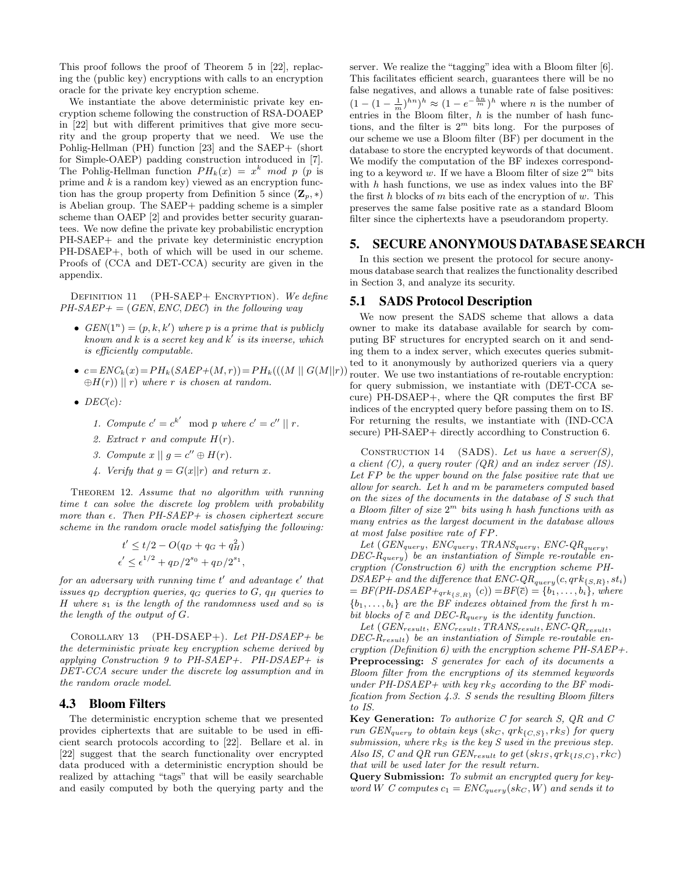This proof follows the proof of Theorem 5 in [22], replacing the (public key) encryptions with calls to an encryption oracle for the private key encryption scheme.

We instantiate the above deterministic private key encryption scheme following the construction of RSA-DOAEP in [22] but with different primitives that give more security and the group property that we need. We use the Pohlig-Hellman (PH) function [23] and the SAEP+ (short for Simple-OAEP) padding construction introduced in [7]. The Pohlig-Hellman function  $PH_k(x) = x^k \mod p$  (p is prime and  $k$  is a random key) viewed as an encryption function has the group property from Definition 5 since  $(\mathbf{Z}_p, *)$ is Abelian group. The SAEP+ padding scheme is a simpler scheme than OAEP [2] and provides better security guarantees. We now define the private key probabilistic encryption PH-SAEP+ and the private key deterministic encryption PH-DSAEP+, both of which will be used in our scheme. Proofs of (CCA and DET-CCA) security are given in the appendix.

DEFINITION  $11$  (PH-SAEP+ ENCRYPTION). We define  $PH-SAEP+ = (GEN, ENC, DEC)$  in the following way

- $GEN(1^n) = (p, k, k')$  where p is a prime that is publicly known and  $k$  is a secret key and  $k'$  is its inverse, which is efficiently computable.
- $c = ENC_k(x) = PH_k(SAEP+(M, r)) = PH_k(((M || G(M|| r)))$  $\bigoplus H(r)\big) \parallel r$  where r is chosen at random.
- $\bullet$  DEC(c):
	- 1. Compute  $c' = c^{k'} \mod p$  where  $c' = c'' || r$ .
	- 2. Extract r and compute  $H(r)$ .
	- 3. Compute  $x \mid g = c'' \oplus H(r)$ .
	- 4. Verify that  $g = G(x||r)$  and return x.

THEOREM 12. Assume that no algorithm with running time t can solve the discrete log problem with probability more than  $\epsilon$ . Then PH-SAEP+ is chosen ciphertext secure scheme in the random oracle model satisfying the following:

$$
t' \le t/2 - O(q_D + q_G + q_H^2)
$$
  

$$
\epsilon' \le \epsilon^{1/2} + q_D/2^{s_0} + q_D/2^{s_1},
$$

for an adversary with running time  $t'$  and advantage  $\epsilon'$  that issues  $q_D$  decryption queries,  $q_G$  queries to  $G$ ,  $q_H$  queries to H where  $s_1$  is the length of the randomness used and  $s_0$  is the length of the output of G.

Corollary 13 (PH-DSAEP+). Let PH-DSAEP+ be the deterministic private key encryption scheme derived by applying Construction 9 to PH-SAEP+. PH-DSAEP+ is DET-CCA secure under the discrete log assumption and in the random oracle model.

# 4.3 Bloom Filters

The deterministic encryption scheme that we presented provides ciphertexts that are suitable to be used in efficient search protocols according to [22]. Bellare et al. in [22] suggest that the search functionality over encrypted data produced with a deterministic encryption should be realized by attaching "tags" that will be easily searchable and easily computed by both the querying party and the server. We realize the "tagging" idea with a Bloom filter [6]. This facilitates efficient search, guarantees there will be no false negatives, and allows a tunable rate of false positives:  $(1 - (1 - \frac{1}{m})^{hn})^h \approx (1 - e^{-\frac{hn}{m}})^h$  where *n* is the number of entries in the Bloom filter,  $h$  is the number of hash functions, and the filter is  $2^m$  bits long. For the purposes of our scheme we use a Bloom filter (BF) per document in the database to store the encrypted keywords of that document. We modify the computation of the BF indexes corresponding to a keyword  $w$ . If we have a Bloom filter of size  $2^m$  bits with  $h$  hash functions, we use as index values into the BF the first  $h$  blocks of  $m$  bits each of the encryption of  $w$ . This preserves the same false positive rate as a standard Bloom filter since the ciphertexts have a pseudorandom property.

#### 5. SECURE ANONYMOUS DATABASE SEARCH

In this section we present the protocol for secure anonymous database search that realizes the functionality described in Section 3, and analyze its security.

#### 5.1 SADS Protocol Description

We now present the SADS scheme that allows a data owner to make its database available for search by computing BF structures for encrypted search on it and sending them to a index server, which executes queries submitted to it anonymously by authorized queriers via a query router. We use two instantiations of re-routable encryption: for query submission, we instantiate with (DET-CCA secure) PH-DSAEP+, where the QR computes the first BF indices of the encrypted query before passing them on to IS. For returning the results, we instantiate with (IND-CCA secure) PH-SAEP+ directly accordhing to Construction 6.

CONSTRUCTION 14 (SADS). Let us have a server $(S)$ , a client  $(C)$ , a query router  $(QR)$  and an index server  $(IS)$ . Let  $FP$  be the upper bound on the false positive rate that we allow for search. Let h and m be parameters computed based on the sizes of the documents in the database of S such that a Bloom filter of size  $2^m$  bits using h hash functions with as many entries as the largest document in the database allows at most false positive rate of FP.

Let  $(GEN_{query}, ENC_{query}, TRANS_{query}, ENC-QR_{query},$  $DEC-R_{query}$ ) be an instantiation of Simple re-routable encryption (Construction 6) with the encryption scheme PH- $DSAEP+$  and the difference that  $ENC\text{-}QR_{query}(c, qrk_{\{S,R\}}, st_i)$  $= BF(PH\text{-}DSAEP + {}_{qrk}S, R} (c)) = BF(\overline{c}) = \{b_1, \ldots, b_i\}, where$  ${b_1, \ldots, b_i}$  are the BF indexes obtained from the first h mbit blocks of  $\bar{c}$  and DEC- $R_{query}$  is the identity function.

Let  $(GEN_{result},$   $ENC_{result},$   $TRANS_{result},$   $ENC\text{-}QR_{result},$  $DEC-R_{result}$ ) be an instantiation of Simple re-routable encryption (Definition 6) with the encryption scheme  $PH-SAEP+$ . Preprocessing: S generates for each of its documents a Bloom filter from the encryptions of its stemmed keywords under PH-DSAEP+ with key rks according to the BF modification from Section 4.3. S sends the resulting Bloom filters to IS.

Key Generation: To authorize C for search S, QR and C run  $GEN_{query}$  to obtain keys (skc,  $qrk_{\{C,S\}}$ , rks) for query submission, where  $rk_S$  is the key S used in the previous step. Also IS, C and QR run  $GEN_{result}$  to get  $(sk_{IS}, grk_{S,CI}, rk_C)$ that will be used later for the result return.

Query Submission: To submit an encrypted query for keyword W C computes  $c_1 = ENC_{query}(sk_C, W)$  and sends it to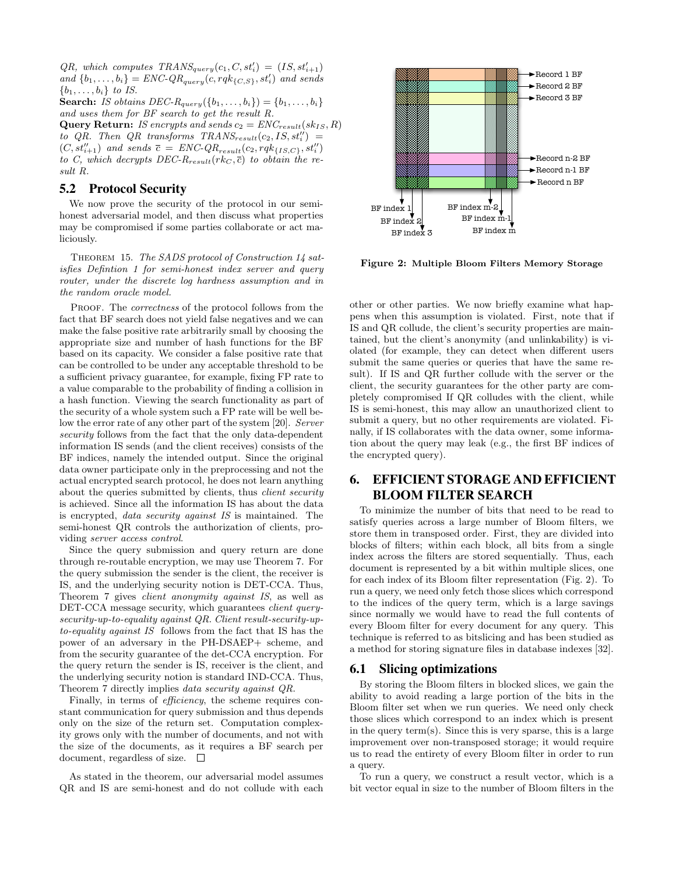$QR$ , which computes  $TRANS_{query}(c_1, C, st'_i) = (IS, st'_{i+1})$ and  $\{b_1, \ldots, b_i\} = ENC\text{-}QR_{query}(c, r q k_{\{C, S\}}, st'_i)$  and sends  ${b_1,\ldots,b_i}$  to IS.

Search: IS obtains DEC- $R_{query}(\{b_1, \ldots, b_i\}) = \{b_1, \ldots, b_i\}$ and uses them for BF search to get the result R.

Query Return: IS encrypts and sends  $c_2 = ENC_{result}(sk_{IS}, R)$ to QR. Then QR transforms  $TRANS_{result}(c_2, IS, st''_i) =$  $(C, st''_{i+1})$  and sends  $\overline{c} = ENC\text{-}QR_{result}(c_2, rqk_{\{IS,C\}}, st''_i)$ to C, which decrypts DEC- $R_{result}(rk_C, \overline{c})$  to obtain the result R.

# 5.2 Protocol Security

We now prove the security of the protocol in our semihonest adversarial model, and then discuss what properties may be compromised if some parties collaborate or act maliciously.

Theorem 15. The SADS protocol of Construction 14 satisfies Defintion 1 for semi-honest index server and query router, under the discrete log hardness assumption and in the random oracle model.

PROOF. The *correctness* of the protocol follows from the fact that BF search does not yield false negatives and we can make the false positive rate arbitrarily small by choosing the appropriate size and number of hash functions for the BF based on its capacity. We consider a false positive rate that can be controlled to be under any acceptable threshold to be a sufficient privacy guarantee, for example, fixing FP rate to a value comparable to the probability of finding a collision in a hash function. Viewing the search functionality as part of the security of a whole system such a FP rate will be well below the error rate of any other part of the system [20]. Server security follows from the fact that the only data-dependent information IS sends (and the client receives) consists of the BF indices, namely the intended output. Since the original data owner participate only in the preprocessing and not the actual encrypted search protocol, he does not learn anything about the queries submitted by clients, thus *client security* is achieved. Since all the information IS has about the data is encrypted, data security against IS is maintained. The semi-honest QR controls the authorization of clients, providing server access control.

Since the query submission and query return are done through re-routable encryption, we may use Theorem 7. For the query submission the sender is the client, the receiver is IS, and the underlying security notion is DET-CCA. Thus, Theorem 7 gives client anonymity against IS, as well as DET-CCA message security, which guarantees *client query*security-up-to-equality against QR. Client result-security-upto-equality against IS follows from the fact that IS has the power of an adversary in the PH-DSAEP+ scheme, and from the security guarantee of the det-CCA encryption. For the query return the sender is IS, receiver is the client, and the underlying security notion is standard IND-CCA. Thus, Theorem 7 directly implies data security against QR.

Finally, in terms of *efficiency*, the scheme requires constant communication for query submission and thus depends only on the size of the return set. Computation complexity grows only with the number of documents, and not with the size of the documents, as it requires a BF search per document, regardless of size. □

As stated in the theorem, our adversarial model assumes QR and IS are semi-honest and do not collude with each



Figure 2: Multiple Bloom Filters Memory Storage

other or other parties. We now briefly examine what happens when this assumption is violated. First, note that if IS and QR collude, the client's security properties are maintained, but the client's anonymity (and unlinkability) is violated (for example, they can detect when different users submit the same queries or queries that have the same result). If IS and QR further collude with the server or the client, the security guarantees for the other party are completely compromised If QR colludes with the client, while IS is semi-honest, this may allow an unauthorized client to submit a query, but no other requirements are violated. Finally, if IS collaborates with the data owner, some information about the query may leak (e.g., the first BF indices of the encrypted query).

# 6. EFFICIENT STORAGE AND EFFICIENT BLOOM FILTER SEARCH

To minimize the number of bits that need to be read to satisfy queries across a large number of Bloom filters, we store them in transposed order. First, they are divided into blocks of filters; within each block, all bits from a single index across the filters are stored sequentially. Thus, each document is represented by a bit within multiple slices, one for each index of its Bloom filter representation (Fig. 2). To run a query, we need only fetch those slices which correspond to the indices of the query term, which is a large savings since normally we would have to read the full contents of every Bloom filter for every document for any query. This technique is referred to as bitslicing and has been studied as a method for storing signature files in database indexes [32].

#### 6.1 Slicing optimizations

By storing the Bloom filters in blocked slices, we gain the ability to avoid reading a large portion of the bits in the Bloom filter set when we run queries. We need only check those slices which correspond to an index which is present in the query term(s). Since this is very sparse, this is a large improvement over non-transposed storage; it would require us to read the entirety of every Bloom filter in order to run a query.

To run a query, we construct a result vector, which is a bit vector equal in size to the number of Bloom filters in the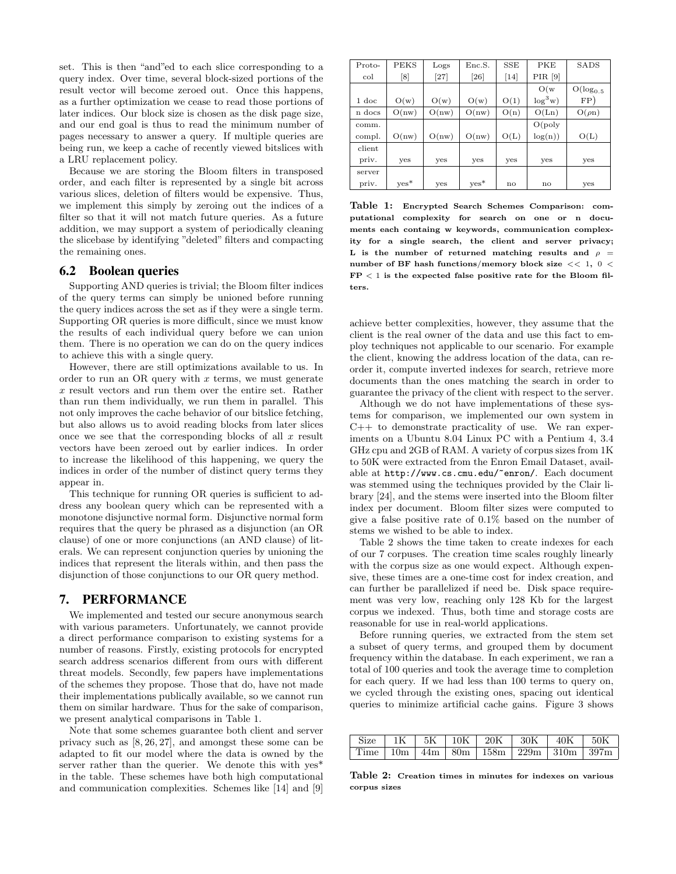set. This is then "and"ed to each slice corresponding to a query index. Over time, several block-sized portions of the result vector will become zeroed out. Once this happens, as a further optimization we cease to read those portions of later indices. Our block size is chosen as the disk page size, and our end goal is thus to read the minimum number of pages necessary to answer a query. If multiple queries are being run, we keep a cache of recently viewed bitslices with a LRU replacement policy.

Because we are storing the Bloom filters in transposed order, and each filter is represented by a single bit across various slices, deletion of filters would be expensive. Thus, we implement this simply by zeroing out the indices of a filter so that it will not match future queries. As a future addition, we may support a system of periodically cleaning the slicebase by identifying "deleted" filters and compacting the remaining ones.

## 6.2 Boolean queries

Supporting AND queries is trivial; the Bloom filter indices of the query terms can simply be unioned before running the query indices across the set as if they were a single term. Supporting OR queries is more difficult, since we must know the results of each individual query before we can union them. There is no operation we can do on the query indices to achieve this with a single query.

However, there are still optimizations available to us. In order to run an OR query with  $x$  terms, we must generate x result vectors and run them over the entire set. Rather than run them individually, we run them in parallel. This not only improves the cache behavior of our bitslice fetching, but also allows us to avoid reading blocks from later slices once we see that the corresponding blocks of all  $x$  result vectors have been zeroed out by earlier indices. In order to increase the likelihood of this happening, we query the indices in order of the number of distinct query terms they appear in.

This technique for running OR queries is sufficient to address any boolean query which can be represented with a monotone disjunctive normal form. Disjunctive normal form requires that the query be phrased as a disjunction (an OR clause) of one or more conjunctions (an AND clause) of literals. We can represent conjunction queries by unioning the indices that represent the literals within, and then pass the disjunction of those conjunctions to our OR query method.

# 7. PERFORMANCE

We implemented and tested our secure anonymous search with various parameters. Unfortunately, we cannot provide a direct performance comparison to existing systems for a number of reasons. Firstly, existing protocols for encrypted search address scenarios different from ours with different threat models. Secondly, few papers have implementations of the schemes they propose. Those that do, have not made their implementations publically available, so we cannot run them on similar hardware. Thus for the sake of comparison, we present analytical comparisons in Table 1.

Note that some schemes guarantee both client and server privacy such as [8, 26, 27], and amongst these some can be adapted to fit our model where the data is owned by the server rather than the querier. We denote this with yes\* in the table. These schemes have both high computational and communication complexities. Schemes like [14] and [9]

| Proto-           | <b>PEKS</b> | Logs  | Enc.S. | <b>SSE</b> | PKE          | <b>SADS</b>              |
|------------------|-------------|-------|--------|------------|--------------|--------------------------|
| col              | [8]         | [27]  | [26]   | $[14]$     | $PIR$ [9]    |                          |
|                  |             |       |        |            | O(w)         | $\mathcal{O}(\log_{0.5}$ |
| $1~\mathrm{doc}$ | O(w)        | O(w)  | O(w)   | O(1)       | $\log^3 w$ ) | FP)                      |
| n docs           | O(nw)       | O(nw) | O(nw)  | O(n)       | O(Ln)        | $O(\rho n)$              |
| comm.            |             |       |        |            | O(poly)      |                          |
| compl.           | O(nw)       | O(nw) | O(nw)  | O(L)       | log(n)       | O(L)                     |
| client           |             |       |        |            |              |                          |
| priv.            | yes         | yes   | yes    | yes        | yes          | yes                      |
| server           |             |       |        |            |              |                          |
| priv.            | $yes*$      | yes   | $yes*$ | no         | $\mathbf{n}$ | yes                      |

Table 1: Encrypted Search Schemes Comparison: computational complexity for search on one or n documents each containg w keywords, communication complexity for a single search, the client and server privacy; L is the number of returned matching results and  $\rho =$ number of BF hash functions/memory block size  $<< 1, 0 <$  $FP < 1$  is the expected false positive rate for the Bloom filters.

achieve better complexities, however, they assume that the client is the real owner of the data and use this fact to employ techniques not applicable to our scenario. For example the client, knowing the address location of the data, can reorder it, compute inverted indexes for search, retrieve more documents than the ones matching the search in order to guarantee the privacy of the client with respect to the server.

Although we do not have implementations of these systems for comparison, we implemented our own system in  $C++$  to demonstrate practicality of use. We ran experiments on a Ubuntu 8.04 Linux PC with a Pentium 4, 3.4 GHz cpu and 2GB of RAM. A variety of corpus sizes from 1K to 50K were extracted from the Enron Email Dataset, available at http://www.cs.cmu.edu/~enron/. Each document was stemmed using the techniques provided by the Clair library [24], and the stems were inserted into the Bloom filter index per document. Bloom filter sizes were computed to give a false positive rate of 0.1% based on the number of stems we wished to be able to index.

Table 2 shows the time taken to create indexes for each of our 7 corpuses. The creation time scales roughly linearly with the corpus size as one would expect. Although expensive, these times are a one-time cost for index creation, and can further be parallelized if need be. Disk space requirement was very low, reaching only 128 Kb for the largest corpus we indexed. Thus, both time and storage costs are reasonable for use in real-world applications.

Before running queries, we extracted from the stem set a subset of query terms, and grouped them by document frequency within the database. In each experiment, we ran a total of 100 queries and took the average time to completion for each query. If we had less than 100 terms to query on, we cycled through the existing ones, spacing out identical queries to minimize artificial cache gains. Figure 3 shows

| Size |  |  | 1K   5K   10K   20K   30K | 40K -                                              | ⊥ 50K |
|------|--|--|---------------------------|----------------------------------------------------|-------|
|      |  |  |                           | Time   10m   44m   80m   158m   229m   310m   397m |       |

Table 2: Creation times in minutes for indexes on various corpus sizes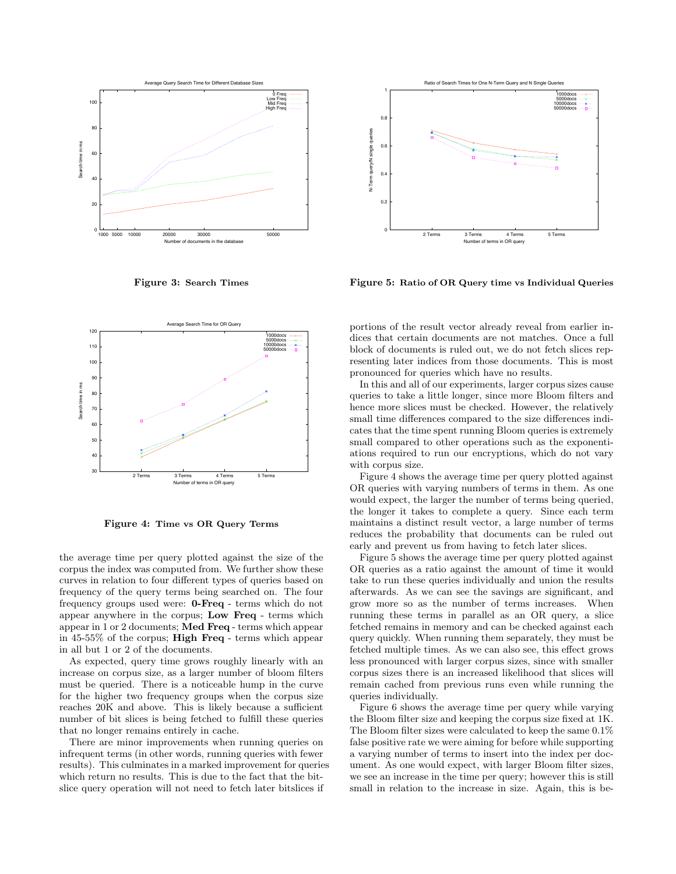

Figure 3: Search Times



Figure 4: Time vs OR Query Terms

the average time per query plotted against the size of the corpus the index was computed from. We further show these curves in relation to four different types of queries based on frequency of the query terms being searched on. The four frequency groups used were: 0-Freq - terms which do not appear anywhere in the corpus; Low Freq - terms which appear in 1 or 2 documents; Med Freq - terms which appear in 45-55% of the corpus; High Freq - terms which appear in all but 1 or 2 of the documents.

As expected, query time grows roughly linearly with an increase on corpus size, as a larger number of bloom filters must be queried. There is a noticeable hump in the curve for the higher two frequency groups when the corpus size reaches 20K and above. This is likely because a sufficient number of bit slices is being fetched to fulfill these queries that no longer remains entirely in cache.

There are minor improvements when running queries on infrequent terms (in other words, running queries with fewer results). This culminates in a marked improvement for queries which return no results. This is due to the fact that the bitslice query operation will not need to fetch later bitslices if



Figure 5: Ratio of OR Query time vs Individual Queries

portions of the result vector already reveal from earlier indices that certain documents are not matches. Once a full block of documents is ruled out, we do not fetch slices representing later indices from those documents. This is most pronounced for queries which have no results.

In this and all of our experiments, larger corpus sizes cause queries to take a little longer, since more Bloom filters and hence more slices must be checked. However, the relatively small time differences compared to the size differences indicates that the time spent running Bloom queries is extremely small compared to other operations such as the exponentiations required to run our encryptions, which do not vary with corpus size.

Figure 4 shows the average time per query plotted against OR queries with varying numbers of terms in them. As one would expect, the larger the number of terms being queried, the longer it takes to complete a query. Since each term maintains a distinct result vector, a large number of terms reduces the probability that documents can be ruled out early and prevent us from having to fetch later slices.

Figure 5 shows the average time per query plotted against OR queries as a ratio against the amount of time it would take to run these queries individually and union the results afterwards. As we can see the savings are significant, and grow more so as the number of terms increases. When running these terms in parallel as an OR query, a slice fetched remains in memory and can be checked against each query quickly. When running them separately, they must be fetched multiple times. As we can also see, this effect grows less pronounced with larger corpus sizes, since with smaller corpus sizes there is an increased likelihood that slices will remain cached from previous runs even while running the queries individually.

Figure 6 shows the average time per query while varying the Bloom filter size and keeping the corpus size fixed at 1K. The Bloom filter sizes were calculated to keep the same 0.1% false positive rate we were aiming for before while supporting a varying number of terms to insert into the index per document. As one would expect, with larger Bloom filter sizes, we see an increase in the time per query; however this is still small in relation to the increase in size. Again, this is be-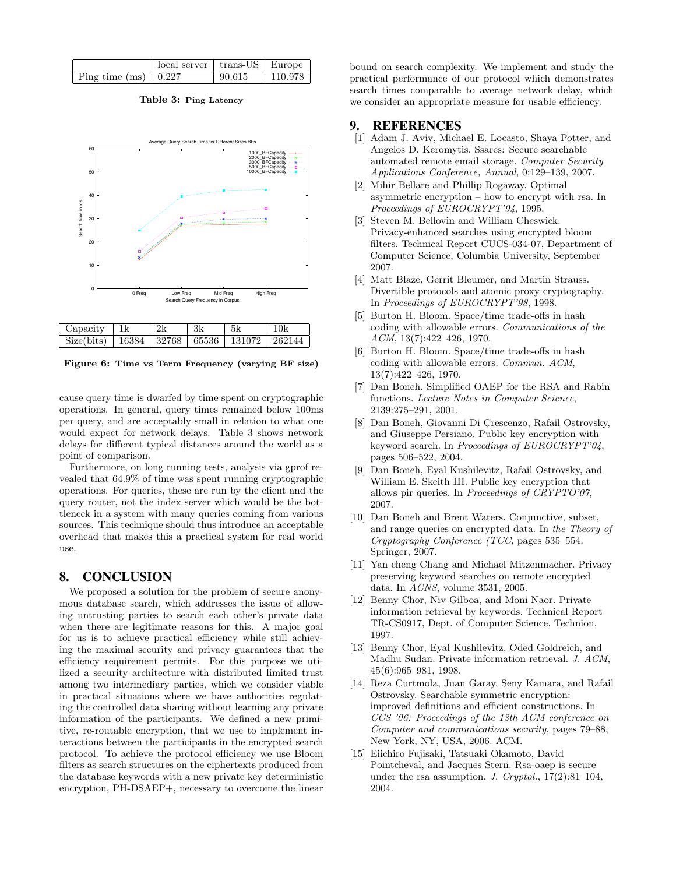|                          | $local server   trans-US   Europe$ |        |         |
|--------------------------|------------------------------------|--------|---------|
| Ping time $(ms)$   0.227 |                                    | 90.615 | 110.978 |

Table 3: Ping Latency



Figure 6: Time vs Term Frequency (varying BF size)

cause query time is dwarfed by time spent on cryptographic operations. In general, query times remained below 100ms per query, and are acceptably small in relation to what one would expect for network delays. Table 3 shows network delays for different typical distances around the world as a point of comparison.

Furthermore, on long running tests, analysis via gprof revealed that 64.9% of time was spent running cryptographic operations. For queries, these are run by the client and the query router, not the index server which would be the bottleneck in a system with many queries coming from various sources. This technique should thus introduce an acceptable overhead that makes this a practical system for real world use.

# 8. CONCLUSION

We proposed a solution for the problem of secure anonymous database search, which addresses the issue of allowing untrusting parties to search each other's private data when there are legitimate reasons for this. A major goal for us is to achieve practical efficiency while still achieving the maximal security and privacy guarantees that the efficiency requirement permits. For this purpose we utilized a security architecture with distributed limited trust among two intermediary parties, which we consider viable in practical situations where we have authorities regulating the controlled data sharing without learning any private information of the participants. We defined a new primitive, re-routable encryption, that we use to implement interactions between the participants in the encrypted search protocol. To achieve the protocol efficiency we use Bloom filters as search structures on the ciphertexts produced from the database keywords with a new private key deterministic encryption, PH-DSAEP+, necessary to overcome the linear bound on search complexity. We implement and study the practical performance of our protocol which demonstrates search times comparable to average network delay, which we consider an appropriate measure for usable efficiency.

#### 9. REFERENCES

- [1] Adam J. Aviv, Michael E. Locasto, Shaya Potter, and Angelos D. Keromytis. Ssares: Secure searchable automated remote email storage. Computer Security Applications Conference, Annual, 0:129–139, 2007.
- [2] Mihir Bellare and Phillip Rogaway. Optimal asymmetric encryption – how to encrypt with rsa. In Proceedings of EUROCRYPT'94, 1995.
- Steven M. Bellovin and William Cheswick. Privacy-enhanced searches using encrypted bloom filters. Technical Report CUCS-034-07, Department of Computer Science, Columbia University, September 2007.
- [4] Matt Blaze, Gerrit Bleumer, and Martin Strauss. Divertible protocols and atomic proxy cryptography. In Proceedings of EUROCRYPT'98, 1998.
- [5] Burton H. Bloom. Space/time trade-offs in hash coding with allowable errors. Communications of the ACM, 13(7):422–426, 1970.
- [6] Burton H. Bloom. Space/time trade-offs in hash coding with allowable errors. Commun. ACM, 13(7):422–426, 1970.
- [7] Dan Boneh. Simplified OAEP for the RSA and Rabin functions. Lecture Notes in Computer Science, 2139:275–291, 2001.
- [8] Dan Boneh, Giovanni Di Crescenzo, Rafail Ostrovsky, and Giuseppe Persiano. Public key encryption with keyword search. In Proceedings of EUROCRYPT'04, pages 506–522, 2004.
- [9] Dan Boneh, Eyal Kushilevitz, Rafail Ostrovsky, and William E. Skeith III. Public key encryption that allows pir queries. In Proceedings of CRYPTO'07, 2007.
- [10] Dan Boneh and Brent Waters. Conjunctive, subset, and range queries on encrypted data. In the Theory of Cryptography Conference (TCC, pages 535–554. Springer, 2007.
- [11] Yan cheng Chang and Michael Mitzenmacher. Privacy preserving keyword searches on remote encrypted data. In ACNS, volume 3531, 2005.
- [12] Benny Chor, Niv Gilboa, and Moni Naor. Private information retrieval by keywords. Technical Report TR-CS0917, Dept. of Computer Science, Technion, 1997.
- [13] Benny Chor, Eyal Kushilevitz, Oded Goldreich, and Madhu Sudan. Private information retrieval. J. ACM, 45(6):965–981, 1998.
- [14] Reza Curtmola, Juan Garay, Seny Kamara, and Rafail Ostrovsky. Searchable symmetric encryption: improved definitions and efficient constructions. In CCS '06: Proceedings of the 13th ACM conference on Computer and communications security, pages 79–88, New York, NY, USA, 2006. ACM.
- [15] Eiichiro Fujisaki, Tatsuaki Okamoto, David Pointcheval, and Jacques Stern. Rsa-oaep is secure under the rsa assumption. J. Cryptol.,  $17(2):81-104$ , 2004.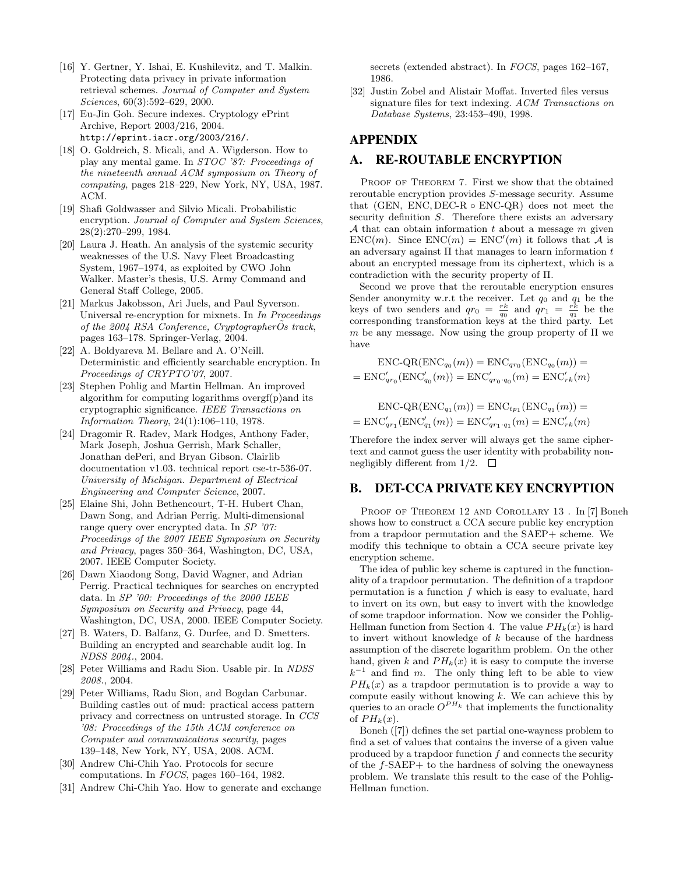- [16] Y. Gertner, Y. Ishai, E. Kushilevitz, and T. Malkin. Protecting data privacy in private information retrieval schemes. Journal of Computer and System Sciences, 60(3):592–629, 2000.
- [17] Eu-Jin Goh. Secure indexes. Cryptology ePrint Archive, Report 2003/216, 2004. http://eprint.iacr.org/2003/216/.
- [18] O. Goldreich, S. Micali, and A. Wigderson. How to play any mental game. In STOC '87: Proceedings of the nineteenth annual ACM symposium on Theory of computing, pages 218–229, New York, NY, USA, 1987. ACM.
- [19] Shafi Goldwasser and Silvio Micali. Probabilistic encryption. Journal of Computer and System Sciences, 28(2):270–299, 1984.
- [20] Laura J. Heath. An analysis of the systemic security weaknesses of the U.S. Navy Fleet Broadcasting System, 1967–1974, as exploited by CWO John Walker. Master's thesis, U.S. Army Command and General Staff College, 2005.
- [21] Markus Jakobsson, Ari Juels, and Paul Syverson. Universal re-encryption for mixnets. In In Proceedings of the 2004 RSA Conference, CryptographerOs track, pages 163–178. Springer-Verlag, 2004.
- [22] A. Boldyareva M. Bellare and A. O'Neill. Deterministic and efficiently searchable encryption. In Proceedings of CRYPTO'07, 2007.
- [23] Stephen Pohlig and Martin Hellman. An improved algorithm for computing logarithms overgf(p)and its cryptographic significance. IEEE Transactions on Information Theory, 24(1):106–110, 1978.
- [24] Dragomir R. Radev, Mark Hodges, Anthony Fader, Mark Joseph, Joshua Gerrish, Mark Schaller, Jonathan dePeri, and Bryan Gibson. Clairlib documentation v1.03. technical report cse-tr-536-07. University of Michigan. Department of Electrical Engineering and Computer Science, 2007.
- [25] Elaine Shi, John Bethencourt, T-H. Hubert Chan, Dawn Song, and Adrian Perrig. Multi-dimensional range query over encrypted data. In SP '07: Proceedings of the 2007 IEEE Symposium on Security and Privacy, pages 350–364, Washington, DC, USA, 2007. IEEE Computer Society.
- [26] Dawn Xiaodong Song, David Wagner, and Adrian Perrig. Practical techniques for searches on encrypted data. In SP '00: Proceedings of the 2000 IEEE Symposium on Security and Privacy, page 44, Washington, DC, USA, 2000. IEEE Computer Society.
- [27] B. Waters, D. Balfanz, G. Durfee, and D. Smetters. Building an encrypted and searchable audit log. In NDSS 2004., 2004.
- [28] Peter Williams and Radu Sion. Usable pir. In NDSS 2008., 2004.
- [29] Peter Williams, Radu Sion, and Bogdan Carbunar. Building castles out of mud: practical access pattern privacy and correctness on untrusted storage. In CCS '08: Proceedings of the 15th ACM conference on Computer and communications security, pages 139–148, New York, NY, USA, 2008. ACM.
- [30] Andrew Chi-Chih Yao. Protocols for secure computations. In FOCS, pages 160–164, 1982.
- [31] Andrew Chi-Chih Yao. How to generate and exchange

secrets (extended abstract). In FOCS, pages 162–167, 1986.

[32] Justin Zobel and Alistair Moffat. Inverted files versus signature files for text indexing. ACM Transactions on Database Systems, 23:453–490, 1998.

# APPENDIX

# A. RE-ROUTABLE ENCRYPTION

PROOF OF THEOREM 7. First we show that the obtained reroutable encryption provides S-message security. Assume that (GEN, ENC, DEC-R  $\circ$  ENC-QR) does not meet the security definition S. Therefore there exists an adversary A that can obtain information  $t$  about a message  $m$  given  $ENC(m)$ . Since  $ENC(m) = ENC'(m)$  it follows that A is an adversary against  $\Pi$  that manages to learn information  $t$ about an encrypted message from its ciphertext, which is a contradiction with the security property of Π.

Second we prove that the reroutable encryption ensures Sender anonymity w.r.t the receiver. Let  $q_0$  and  $q_1$  be the keys of two senders and  $qr_0 = \frac{rk}{q_0}$  and  $qr_1 = \frac{rk}{q_1}$  be the corresponding transformation keys at the third party. Let m be any message. Now using the group property of  $\Pi$  we have

 $\text{ENC-QR}(\text{ENC}_{q_0}(m)) = \text{ENC}_{qr_0}(\text{ENC}_{q_0}(m)) =$ =  $\text{ENC}'_{qr_0}(\text{ENC}'_{q_0}(m)) = \text{ENC}'_{qr_0 \cdot q_0}(m) = \text{ENC}'_{rk}(m)$ 

$$
ENC\text{-}QR(ENC_{q_1}(m)) =ENC_{tp_1}(ENC_{q_1}(m)) = \\ =ENC'_{q_1}(ENC'_{q_1}(m)) =ENC'_{q_1 \cdot q_1}(m) =ENC'_{rk}(m)
$$

Therefore the index server will always get the same ciphertext and cannot guess the user identity with probability nonnegligibly different from  $1/2$ .  $\Box$ 

# B. DET-CCA PRIVATE KEY ENCRYPTION

PROOF OF THEOREM 12 AND COROLLARY 13. In [7] Boneh shows how to construct a CCA secure public key encryption from a trapdoor permutation and the SAEP+ scheme. We modify this technique to obtain a CCA secure private key encryption scheme.

The idea of public key scheme is captured in the functionality of a trapdoor permutation. The definition of a trapdoor permutation is a function f which is easy to evaluate, hard to invert on its own, but easy to invert with the knowledge of some trapdoor information. Now we consider the Pohlig-Hellman function from Section 4. The value  $PH_k(x)$  is hard to invert without knowledge of k because of the hardness assumption of the discrete logarithm problem. On the other hand, given k and  $PH_k(x)$  it is easy to compute the inverse  $k^{-1}$  and find m. The only thing left to be able to view  $PH_k(x)$  as a trapdoor permutation is to provide a way to compute easily without knowing  $k$ . We can achieve this by queries to an oracle  $O^{PH_k}$  that implements the functionality of  $PH_k(x)$ .

Boneh ([7]) defines the set partial one-wayness problem to find a set of values that contains the inverse of a given value produced by a trapdoor function  $f$  and connects the security of the f-SAEP+ to the hardness of solving the onewayness problem. We translate this result to the case of the Pohlig-Hellman function.